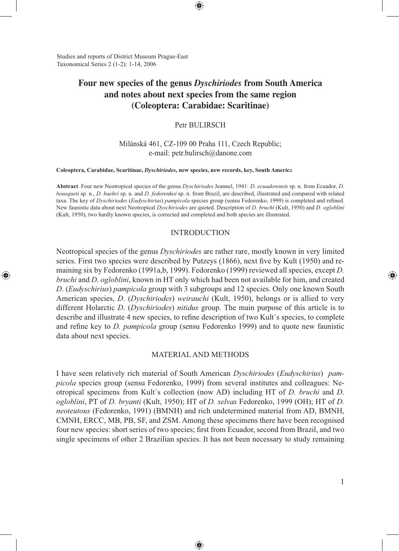Studies and reports of District Museum Prague-East Taxonomical Series 2 (1-2): 1-14, 2006

⊕

# **Four new species of the genus** *Dyschiriodes* **from South America and notes about next species from the same region (Coleoptera: Carabidae: Scaritinae)**

⊕

#### Petr BULIRSCH

## Milánská 461, CZ-109 00 Praha 111, Czech Republic; e-mail: petr.bulirsch@danone.com

#### **Coleoptera, Carabidae, Scaritinae,** *Dyschiriodes***, new species, new records, key, South Americ**a

**Abstract**. Four new Neotropical species of the genus *Dyschiriodes* Jeannel, 1941: *D. ecuadorensis* sp. n. from Ecuador, *D. bousqueti* sp. n., *D. baehri* sp. n. and *D. fedorenkoi* sp. n. from Brazil, are described, illustrated and compared with related taxa. The key of *Dyschiriodes* (*Eudyschirius*) *pampicola* species group (sensu Fedorenko, 1999) is completed and refined. New faunistic data about next Neotropical *Dyschiriodes* are quoted. Description of *D. bruchi* (Kult, 1950) and *D. ogloblini* (Kult, 1950), two hardly known species, is corrected and completed and both species are illustrated.

#### INTRODUCTION

Neotropical species of the genus *Dyschiriodes* are rather rare, mostly known in very limited series. First two species were described by Putzeys (1866), next five by Kult (1950) and remaining six by Fedorenko (1991a,b, 1999). Fedorenko (1999) reviewed all species, except *D. bruchi* and *D. ogloblini*, known in HT only which had been not available for him, and created *D*. (*Eudyschirius*) *pampicola* group with 3 subgroups and 12 species. Only one known South American species, *D*. (*Dyschiriodes*) *weirauchi* (Kult, 1950), belongs or is allied to very different Holarctic *D*. (*Dyschiriodes*) *nitidus* group. The main purpose of this article is to describe and illustrate 4 new species, to refine description of two Kult´s species, to complete and refine key to *D. pampicola* group (sensu Fedorenko 1999) and to quote new faunistic data about next species.

#### MATERIAL AND METHODS

I have seen relatively rich material of South American *Dyschiriodes* (*Eudyschirius*) *pampicola* species group (sensu Fedorenko, 1999) from several institutes and colleagues: Neotropical specimens from Kult´s collection (now AD) including HT of *D. bruchi* and *D*. *ogloblini*, PT of *D. bryanti* (Kult, 1950); HT of *D. selvas* Fedorenko, 1999 (OH); HT of *D. neoteutous* (Fedorenko, 1991) (BMNH) and rich undetermined material from AD, BMNH, CMNH, ERCC, MB, PB, SF, and ZSM. Among these specimens there have been recognised four new species: short series of two species; first from Ecuador, second from Brazil, and two single specimens of other 2 Brazilian species. It has not been necessary to study remaining

◈

1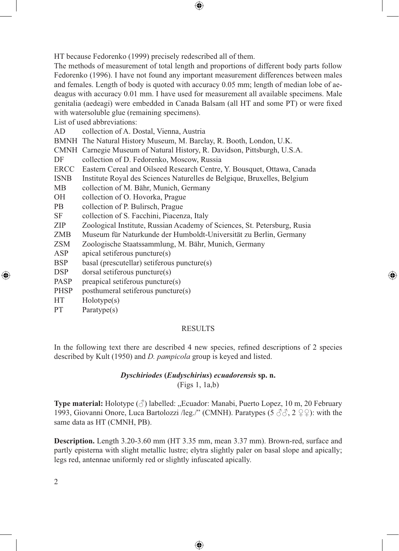HT because Fedorenko (1999) precisely redescribed all of them.

The methods of measurement of total length and proportions of different body parts follow Fedorenko (1996). I have not found any important measurement differences between males and females. Length of body is quoted with accuracy 0.05 mm; length of median lobe of aedeagus with accuracy 0.01 mm. I have used for measurement all available specimens. Male genitalia (aedeagi) were embedded in Canada Balsam (all HT and some PT) or were fixed with watersoluble glue (remaining specimens).

 $\bigcirc \hspace{-1.4mm} \bigcirc$ 

List of used abbreviations:

| AD          | collection of A. Dostal, Vienna, Austria                                 |
|-------------|--------------------------------------------------------------------------|
|             | BMNH The Natural History Museum, M. Barclay, R. Booth, London, U.K.      |
|             | CMNH Carnegie Museum of Natural History, R. Davidson, Pittsburgh, U.S.A. |
| DF          | collection of D. Fedorenko, Moscow, Russia                               |
| ERCC        | Eastern Cereal and Oilseed Research Centre, Y. Bousquet, Ottawa, Canada  |
| <b>ISNB</b> | Institute Royal des Sciences Naturelles de Belgique, Bruxelles, Belgium  |
| MB.         | collection of M. Bähr, Munich, Germany                                   |
| OH.         | collection of O. Hovorka, Prague                                         |
| <b>PB</b>   | collection of P. Bulirsch, Prague                                        |
| <b>SF</b>   | collection of S. Facchini, Piacenza, Italy                               |
| <b>ZIP</b>  | Zoological Institute, Russian Academy of Sciences, St. Petersburg, Rusia |
| <b>ZMB</b>  | Museum für Naturkunde der Humboldt-Universität zu Berlin, Germany        |
| <b>ZSM</b>  | Zoologische Staatssammlung, M. Bähr, Munich, Germany                     |
| ASP         | apical setiferous puncture(s)                                            |
| <b>BSP</b>  | basal (prescutellar) setiferous puncture(s)                              |
| DSP         | $dorsal$ setiferous puncture $(s)$                                       |
| <b>PASP</b> | preapical setiferous puncture(s)                                         |
| <b>PHSP</b> | posthumeral setiferous puncture(s)                                       |
| <b>HT</b>   | Holotype(s)                                                              |
| <b>PT</b>   | Paratype(s)                                                              |

## RESULTS

⊕

In the following text there are described 4 new species, refined descriptions of 2 species described by Kult (1950) and *D. pampicola* group is keyed and listed.

#### *Dyschiriodes* **(***Eudyschirius***)** *ecuadorensis* **sp. n.** (Figs 1, 1a,b)

**Type material:** Holotype  $(\text{I})$  labelled: "Ecuador: Manabi, Puerto Lopez, 10 m, 20 February 1993, Giovanni Onore, Luca Bartolozzi /leg./" (CMNH). Paratypes (5  $\Im \Im$ , 2  $\Im$  2): with the same data as HT (CMNH, PB).

**Description.** Length 3.20-3.60 mm (HT 3.35 mm, mean 3.37 mm). Brown-red, surface and partly episterna with slight metallic lustre; elytra slightly paler on basal slope and apically; legs red, antennae uniformly red or slightly infuscated apically.

⊕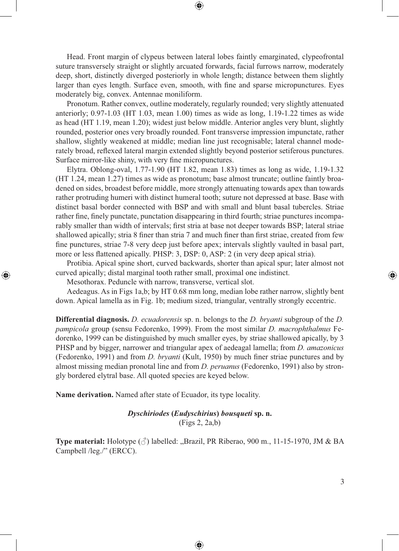Head. Front margin of clypeus between lateral lobes faintly emarginated, clypeofrontal suture transversely straight or slightly arcuated forwards, facial furrows narrow, moderately deep, short, distinctly diverged posteriorly in whole length; distance between them slightly larger than eyes length. Surface even, smooth, with fine and sparse micropunctures. Eyes moderately big, convex. Antennae moniliform.

◈

Pronotum. Rather convex, outline moderately, regularly rounded; very slightly attenuated anteriorly;  $0.97-1.03$  (HT 1.03, mean 1.00) times as wide as long,  $1.19-1.22$  times as wide as head (HT 1.19, mean 1.20); widest just below middle. Anterior angles very blunt, slightly rounded, posterior ones very broadly rounded. Font transverse impression impunctate, rather shallow, slightly weakened at middle; median line just recognisable; lateral channel moderately broad, reflexed lateral margin extended slightly beyond posterior setiferous punctures. Surface mirror-like shiny, with very fine micropunctures.

Elytra. Oblong-oval, 1.77-1.90 (HT 1.82, mean 1.83) times as long as wide, 1.19-1.32 (HT 1.24, mean 1.27) times as wide as pronotum; base almost truncate; outline faintly broadened on sides, broadest before middle, more strongly attenuating towards apex than towards rather protruding humeri with distinct humeral tooth; suture not depressed at base. Base with distinct basal border connected with BSP and with small and blunt basal tubercles. Striae rather fine, finely punctate, punctation disappearing in third fourth; striae punctures incomparably smaller than width of intervals; first stria at base not deeper towards BSP; lateral striae shallowed apically; stria 8 finer than stria 7 and much finer than first striae, created from few fine punctures, striae 7-8 very deep just before apex; intervals slightly vaulted in basal part, more or less flattened apically. PHSP: 3, DSP: 0, ASP: 2 (in very deep apical stria).

Protibia. Apical spine short, curved backwards, shorter than apical spur; later almost not curved apically; distal marginal tooth rather small, proximal one indistinct.

Mesothorax. Peduncle with narrow, transverse, vertical slot.

⊕

Aedeagus. As in Figs 1a,b; by HT 0.68 mm long, median lobe rather narrow, slightly bent down. Apical lamella as in Fig. 1b; medium sized, triangular, ventrally strongly eccentric.

**Differential diagnosis.** *D. ecuadorensis* sp. n. belongs to the *D. bryanti* subgroup of the *D. pampicola* group (sensu Fedorenko, 1999). From the most similar *D. macrophthalmus* Fedorenko, 1999 can be distinguished by much smaller eyes, by striae shallowed apically, by 3 PHSP and by bigger, narrower and triangular apex of aedeagal lamella; from *D. amazonicus*  (Fedorenko, 1991) and from *D. bryanti* (Kult, 1950) by much finer striae punctures and by almost missing median pronotal line and from *D. peruanus* (Fedorenko, 1991) also by strongly bordered elytral base. All quoted species are keyed below.

**Name derivation.** Named after state of Ecuador, its type locality.

*Dyschiriodes* **(***Eudyschirius***)** *bousqueti* **sp. n.** (Figs 2, 2a,b)

**Type material:** Holotype  $(\vec{\sigma})$  labelled: "Brazil, PR Riberao, 900 m., 11-15-1970, JM & BA Campbell /leg./" (ERCC).

⊕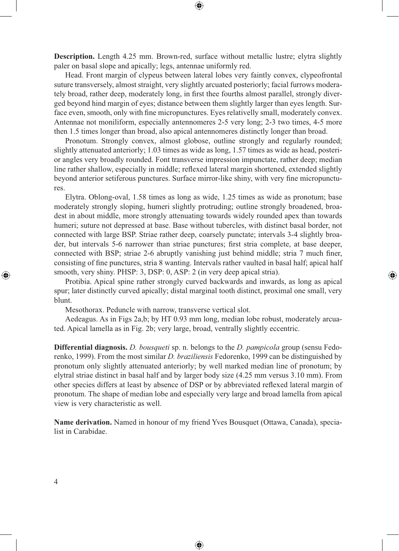**Description.** Length 4.25 mm. Brown-red, surface without metallic lustre; elytra slightly paler on basal slope and apically; legs, antennae uniformly red.

⊕

Head. Front margin of clypeus between lateral lobes very faintly convex, clypeofrontal suture transversely, almost straight, very slightly arcuated posteriorly; facial furrows moderately broad, rather deep, moderately long, in first thee fourths almost parallel, strongly diverged beyond hind margin of eyes; distance between them slightly larger than eyes length. Surface even, smooth, only with fine micropunctures. Eyes relativelly small, moderately convex. Antennae not moniliform, especially antennomeres 2-5 very long; 2-3 two times, 4-5 more then 1.5 times longer than broad, also apical antennomeres distinctly longer than broad.

Pronotum. Strongly convex, almost globose, outline strongly and regularly rounded; slightly attenuated anteriorly; 1.03 times as wide as long, 1.57 times as wide as head, posterior angles very broadly rounded. Font transverse impression impunctate, rather deep; median line rather shallow, especially in middle; reflexed lateral margin shortened, extended slightly beyond anterior setiferous punctures. Surface mirror-like shiny, with very fine micropunctures.

Elytra. Oblong-oval, 1.58 times as long as wide, 1.25 times as wide as pronotum; base moderately strongly sloping, humeri slightly protruding; outline strongly broadened, broadest in about middle, more strongly attenuating towards widely rounded apex than towards humeri; suture not depressed at base. Base without tubercles, with distinct basal border, not connected with large BSP. Striae rather deep, coarsely punctate; intervals 3-4 slightly broader, but intervals 5-6 narrower than striae punctures; first stria complete, at base deeper, connected with BSP; striae 2-6 abruptly vanishing just behind middle; stria 7 much finer, consisting of fine punctures, stria 8 wanting. Intervals rather vaulted in basal half; apical half smooth, very shiny. PHSP: 3, DSP: 0, ASP: 2 (in very deep apical stria).

Protibia. Apical spine rather strongly curved backwards and inwards, as long as apical spur; later distinctly curved apically; distal marginal tooth distinct, proximal one small, very blunt.

⊕

Mesothorax. Peduncle with narrow, transverse vertical slot.

Aedeagus. As in Figs 2a,b; by HT 0.93 mm long, median lobe robust, moderately arcuated. Apical lamella as in Fig. 2b; very large, broad, ventrally slightly eccentric.

**Differential diagnosis.** *D. bousqueti* sp. n. belongs to the *D. pampicola* group (sensu Fedorenko, 1999). From the most similar *D. braziliensis* Fedorenko, 1999 can be distinguished by pronotum only slightly attenuated anteriorly; by well marked median line of pronotum; by elytral striae distinct in basal half and by larger body size (4.25 mm versus 3.10 mm). From other species differs at least by absence of DSP or by abbreviated reflexed lateral margin of pronotum. The shape of median lobe and especially very large and broad lamella from apical view is very characteristic as well.

**Name derivation.** Named in honour of my friend Yves Bousquet (Ottawa, Canada), specialist in Carabidae.

⊕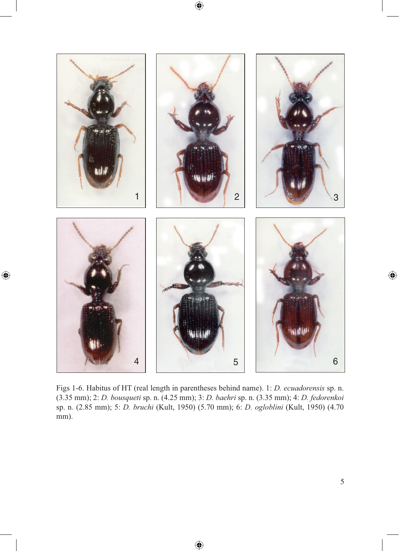



 $\bigoplus$ 

Figs 1-6. Habitus of HT (real length in parentheses behind name). 1: *D. ecuadorensis* sp. n. (3.35 mm); 2: *D. bousqueti* sp. n. (4.25 mm); 3: *D. baehri* sp. n. (3.35 mm); 4: *D. fedorenkoi*  sp. n. (2.85 mm); 5: *D. bruchi* (Kult, 1950) (5.70 mm); 6: *D. ogloblini* (Kult, 1950) (4.70 mm).

⊕

 $\bigoplus$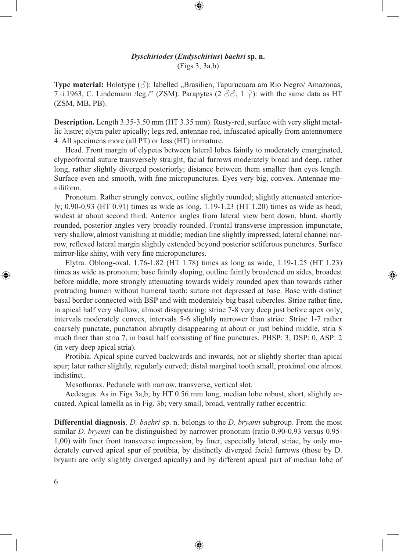## *Dyschiriodes* **(***Eudyschirius***)** *baehri* **sp. n.** (Figs 3, 3a,b)

⊕

**Type material:** Holotype ( $\Diamond$ ): labelled "Brasilien, Tapurucuara am Rio Negro/ Amazonas, 7.ii.1963, C. Lindemann /leg./" (ZSM). Parapytes ( $2 \text{ } \textcircled{3}$ ,  $1 \text{ } \textcircled{1}$ ): with the same data as HT (ZSM, MB, PB).

**Description.** Length 3.35-3.50 mm (HT 3.35 mm). Rusty-red, surface with very slight metallic lustre; elytra paler apically; legs red, antennae red, infuscated apically from antennomere 4. All specimens more (all PT) or less (HT) immature.

Head. Front margin of clypeus between lateral lobes faintly to moderately emarginated, clypeofrontal suture transversely straight, facial furrows moderately broad and deep, rather long, rather slightly diverged posteriorly; distance between them smaller than eyes length. Surface even and smooth, with fine micropunctures. Eyes very big, convex. Antennae moniliform.

Pronotum. Rather strongly convex, outline slightly rounded; slightly attenuated anteriorly; 0.90-0.93 (HT 0.91) times as wide as long, 1.19-1.23 (HT 1.20) times as wide as head; widest at about second third. Anterior angles from lateral view bent down, blunt, shortly rounded, posterior angles very broadly rounded. Frontal transverse impression impunctate, very shallow, almost vanishing at middle; median line slightly impressed; lateral channel narrow, reflexed lateral margin slightly extended beyond posterior setiferous punctures. Surface mirror-like shiny, with very fine micropunctures.

Elytra. Oblong-oval, 1.76-1.82 (HT 1.78) times as long as wide, 1.19-1.25 (HT 1.23) times as wide as pronotum; base faintly sloping, outline faintly broadened on sides, broadest before middle, more strongly attenuating towards widely rounded apex than towards rather protruding humeri without humeral tooth; suture not depressed at base. Base with distinct basal border connected with BSP and with moderately big basal tubercles. Striae rather fine, in apical half very shallow, almost disappearing; striae 7-8 very deep just before apex only; intervals moderately convex, intervals 5-6 slightly narrower than striae. Striae 1-7 rather coarsely punctate, punctation abruptly disappearing at about or just behind middle, stria 8 much finer than stria 7, in basal half consisting of fine punctures. PHSP: 3, DSP: 0, ASP: 2 (in very deep apical stria).

⊕

Protibia. Apical spine curved backwards and inwards, not or slightly shorter than apical spur; later rather slightly, regularly curved; distal marginal tooth small, proximal one almost indistinct.

Mesothorax. Peduncle with narrow, transverse, vertical slot.

Aedeagus. As in Figs 3a,b; by HT 0.56 mm long, median lobe robust, short, slightly arcuated. Apical lamella as in Fig. 3b; very small, broad, ventrally rather eccentric.

**Differential diagnosis**. *D. baehri* sp. n. belongs to the *D. bryanti* subgroup. From the most similar *D. bryanti* can be distinguished by narrower pronotum (ratio 0.90-0.93 versus 0.95- 1,00) with finer front transverse impression, by finer, especially lateral, striae, by only moderately curved apical spur of protibia, by distinctly diverged facial furrows (those by D. bryanti are only slightly diverged apically) and by different apical part of median lobe of

⊕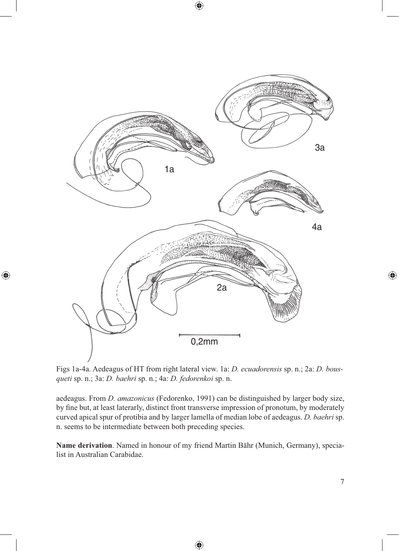

 $\bigoplus$ 

⊕

Figs 1a-4a. Aedeagus of HT from right lateral view. 1a: *D. ecuadorensis* sp. n.; 2a: *D. bousqueti* sp. n.; 3a: *D. baehri* sp. n.; 4a: *D. fedorenkoi* sp. n.

aedeagus. From *D. amazonicus* (Fedorenko, 1991) can be distinguished by larger body size, by fine but, at least laterarly, distinct front transverse impression of pronotum, by moderately curved apical spur of protibia and by larger lamella of median lobe of aedeagus. *D. baehri* sp. n. seems to be intermediate between both preceding species.

**Name derivation**. Named in honour of my friend Martin Bähr (Munich, Germany), specialist in Australian Carabidae.

 $\bigoplus$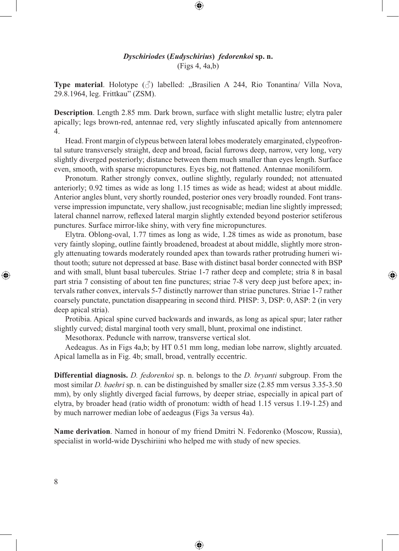## *Dyschiriodes* **(***Eudyschirius***)** *fedorenkoi* **sp. n.** (Figs 4, 4a,b)

⊕

**Type material**. Holotype  $(\delta)$  labelled: "Brasilien A 244, Rio Tonantina/ Villa Nova, 29.8.1964, leg. Frittkau" (ZSM).

**Description**. Length 2.85 mm. Dark brown, surface with slight metallic lustre; elytra paler apically; legs brown-red, antennae red, very slightly infuscated apically from antennomere 4.

Head. Front margin of clypeus between lateral lobes moderately emarginated, clypeofrontal suture transversely straight, deep and broad, facial furrows deep, narrow, very long, very slightly diverged posteriorly; distance between them much smaller than eyes length. Surface even, smooth, with sparse micropunctures. Eyes big, not flattened. Antennae moniliform.

Pronotum. Rather strongly convex, outline slightly, regularly rounded; not attenuated anteriorly; 0.92 times as wide as long 1.15 times as wide as head; widest at about middle. Anterior angles blunt, very shortly rounded, posterior ones very broadly rounded. Font transverse impression impunctate, very shallow, just recognisable; median line slightly impressed; lateral channel narrow, reflexed lateral margin slightly extended beyond posterior setiferous punctures. Surface mirror-like shiny, with very fine micropunctures.

Elytra. Oblong-oval, 1.77 times as long as wide, 1.28 times as wide as pronotum, base very faintly sloping, outline faintly broadened, broadest at about middle, slightly more strongly attenuating towards moderately rounded apex than towards rather protruding humeri without tooth; suture not depressed at base. Base with distinct basal border connected with BSP and with small, blunt basal tubercules. Striae 1-7 rather deep and complete; stria 8 in basal part stria 7 consisting of about ten fine punctures; striae 7-8 very deep just before apex; intervals rather convex, intervals 5-7 distinctly narrower than striae punctures. Striae 1-7 rather coarsely punctate, punctation disappearing in second third. PHSP: 3, DSP: 0, ASP: 2 (in very deep apical stria).

⊕

Protibia. Apical spine curved backwards and inwards, as long as apical spur; later rather slightly curved; distal marginal tooth very small, blunt, proximal one indistinct.

Mesothorax. Peduncle with narrow, transverse vertical slot.

Aedeagus. As in Figs 4a,b; by HT 0.51 mm long, median lobe narrow, slightly arcuated. Apical lamella as in Fig. 4b; small, broad, ventrally eccentric.

**Differential diagnosis.** *D. fedorenkoi* sp. n. belongs to the *D. bryanti* subgroup. From the most similar *D. baehri* sp. n. can be distinguished by smaller size (2.85 mm versus 3.35-3.50 mm), by only slightly diverged facial furrows, by deeper striae, especially in apical part of elytra, by broader head (ratio width of pronotum: width of head 1.15 versus 1.19-1.25) and by much narrower median lobe of aedeagus (Figs 3a versus 4a).

**Name derivation**. Named in honour of my friend Dmitri N. Fedorenko (Moscow, Russia), specialist in world-wide Dyschiriini who helped me with study of new species.

⊕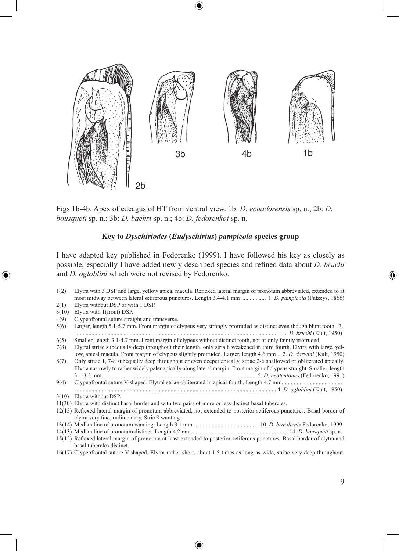

Figs 1b-4b. Apex of edeagus of HT from ventral view. 1b: *D. ecuadorensis* sp. n.; 2b: *D. bousqueti* sp. n.; 3b: *D. baehri* sp. n.; 4b: *D. fedorenkoi* sp. n.

#### **Key to** *Dyschiriodes* **(***Eudyschirius***)** *pampicola* **species group**

I have adapted key published in Fedorenko (1999). I have followed his key as closely as possible; especially I have added newly described species and refined data about *D. bruchi*  and *D. ogloblini* which were not revised by Fedorenko.

- 1(2) Elytra with 3 DSP and large, yellow apical macula. Reflexed lateral margin of pronotum abbreviated, extended to at most midway between lateral setiferous punctures. Length 3.4-4.1 mm ................ 1. *D. pampicola* (Putzeys, 1866)
- 2(1) Elytra without DSP or with 1 DSP.
- 3(10) Elytra with 1(front) DSP.

⊕

- 4(9) Clypeofrontal suture straight and transverse.
- 5(6) Larger, length 5.1-5.7 mm. Front margin of clypeus very strongly protruded as distinct even though blunt tooth. 3. ................................................................................................................................................. *D. bruchi* (Kult, 1950)
- 6(5) Smaller, length 3.1-4.7 mm. Front margin of clypeus without distinct tooth, not or only faintly protruded. 7(8) Elytral striae subequally deep throughout their length, only stria 8 weakened in third fourth. Elytra with large, yel-
- low, apical macula. Front margin of clypeus slightly protruded. Larger, length 4.6 mm .. 2. *D. darwini* (Kult, 1950) 8(7) Only striae 1, 7-8 subequally deep throughout or even deeper apically, striae 2-6 shallowed or obliterated apically.
- Elytra narrowly to rather widely paler apically along lateral margin. Front margin of clypeus straight. Smaller, length 3.1-3.3 mm. ....................................................................................................... 5. *D. neoteutonus* (Fedorenko, 1991)
- 9(4) Clypeofrontal suture V-shaped. Elytral striae obliterated in apical fourth. Length 4.7 mm. ....................................... ......................................................................................................................................... 4. *D. ogloblini* (Kult, 1950)
- 3(10) Elytra without DSP.
- 11(30) Elytra with distinct basal border and with two pairs of more or less distinct basal tubercles.

- 13(14) Median line of pronotum wanting. Length 3.1 mm ............................................ 10. *D. brazilienis* Fedorenko, 1999
- 14(13) Median line of pronotum distinct. Length 4.2 mm ................................................................. 14. *D. bousqueti* sp. n. 15(12) Reflexed lateral margin of pronotum at least extended to posterior setiferous punctures. Basal border of elytra and basal tubercles distinct.
- 16(17) Clypeofrontal suture V-shaped. Elytra rather short, about 1.5 times as long as wide, striae very deep throughout.

<sup>12(15)</sup> Reflexed lateral margin of pronotum abbreviated, not extended to posterior setiferous punctures. Basal border of elytra very fine, rudimentary. Stria 8 wanting.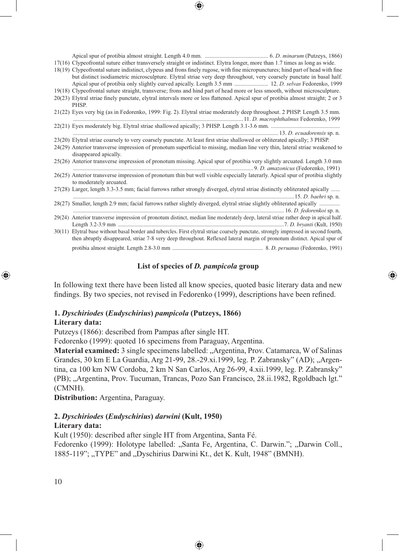Apical spur of protibia almost straight. Length 4.0 mm. ........................................... 6. *D. minarum* (Putzeys, 1866) 17(16) Clypeofrontal suture either transversely straight or indistinct. Elytra longer, more than 1.7 times as long as wide.

18(19) Clypeofrontal suture indistinct, clypeus and frons finely rugose, with fine micropunctures; hind part of head with fine but distinct isodiametric microsculpture. Elytral striae very deep throughout, very coarsely punctate in basal half.

- Apical spur of protibia only slightly curved apically. Length 3.5 mm ....................... 12. *D. selvas* Fedorenko, 1999 19(18) Clypeofrontal suture straight, transverse; frons and hind part of head more or less smooth, without microsculpture.
- 20(23) Elytral striae finely punctate, elytral intervals more or less flattened. Apical spur of protibia almost straight; 2 or 3 PHSP.
- 21(22) Eyes very big (as in Fedorenko, 1999: Fig. 2). Elytral striae moderately deep throughout. 2 PHSP. Length 3.5 mm. ....................................................................................................................11. *D. macrophthalmus* Fedorenko, 1999
- 22(21) Eyes moderately big. Elytral striae shallowed apically; 3 PHSP. Length 3.1-3.6 mm. ............................................... ............................................................................................................................................ 13. *D. ecuadorensis* sp. n.
- 23(20) Elytral striae coarsely to very coarsely punctate. At least first striae shallowed or obliterated apically; 3 PHSP.
- 24(29) Anterior transverse impression of pronotum superficial to missing, median line very thin, lateral striae weakened to disappeared apically.
- 25(26) Anterior transverse impression of pronotum missing. Apical spur of protibia very slightly arcuated. Length 3.0 mm ...........................................................................................................................9. *D. amazonicus* (Fedorenko, 1991)
- 26(25) Anterior transverse impression of pronotum thin but well visible especially laterarly. Apical spur of protibia slightly to moderately arcuated.
- 27(28) Larger, length 3.3-3.5 mm; facial furrows rather strongly diverged, elytral striae distinctly obliterated apically ...... .......................................................................................................................................................15. *D. baehri* sp. n.
- 28(27) Smaller, length 2.9 mm; facial furrows rather slightly diverged, elytral striae slightly obliterated apically .............. ................................................................................................................................................ 16. *D. fedorenkoi* sp. n. 29(24) Anterior transverse impression of pronotum distinct, median line moderately deep, lateral striae rather deep in apical half. Length 3.2-3.9 mm .......................................................................................................................7. *D. bryanti* (Kult, 1950) 30(11) Elytral base without basal border and tubercles. First elytral striae coarsely punctate, strongly impressed in second fourth, then abruptly disappeared, striae 7-8 very deep throughout. Reflexed lateral margin of pronotum distinct. Apical spur of

protibia almost straight. Length 2.8-3.0 mm ................................................................. 8. *D. peruanus* (Fedorenko, 1991)

⊕

### **List of species of** *D. pampicola* **group**

In following text there have been listed all know species, quoted basic literary data and new findings. By two species, not revised in Fedorenko (1999), descriptions have been refined.

#### **1.** *Dyschiriodes* **(***Eudyschirius***)** *pampicola* **(Putzeys, 1866)**

#### **Literary data:**

↔

Putzeys (1866): described from Pampas after single HT.

Fedorenko (1999): quoted 16 specimens from Paraguay, Argentina.

**Material examined:** 3 single specimens labelled: "Argentina, Prov. Catamarca, W of Salinas Grandes, 30 km E La Guardia, Arg 21-99, 28.-29.xi.1999, leg. P. Zabransky" (AD); "Argentina, ca 100 km NW Cordoba, 2 km N San Carlos, Arg 26-99, 4.xii.1999, leg. P. Zabransky" (PB); "Argentina, Prov. Tucuman, Trancas, Pozo San Francisco, 28.ii.1982, Rgoldbach lgt." (CMNH).

**Distribution:** Argentina, Paraguay.

## **2.** *Dyschiriodes* **(***Eudyschirius***)** *darwini* **(Kult, 1950)**

#### **Literary data:**

Kult (1950): described after single HT from Argentina, Santa Fé.

Fedorenko (1999): Holotype labelled: "Santa Fe, Argentina, C. Darwin."; "Darwin Coll., 1885-119"; "TYPE" and "Dyschirius Darwini Kt., det K. Kult, 1948" (BMNH).

◈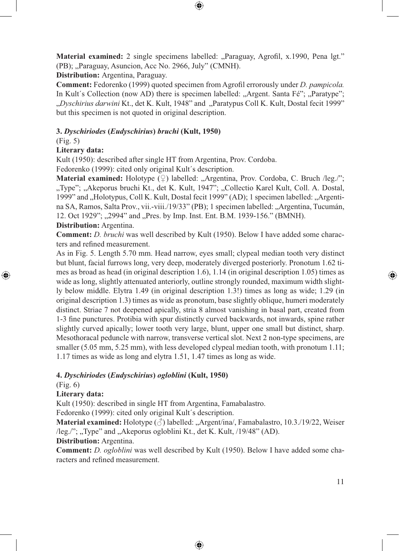**Material examined:** 2 single specimens labelled: "Paraguay, Agrofil, x.1990, Pena lgt." (PB); "Paraguay, Asuncion, Acc No. 2966, July" (CMNH).

⊕

**Distribution:** Argentina, Paraguay.

**Comment:** Fedorenko (1999) quoted specimen from Agrofil errorously under *D. pampicola.*  In Kult's Collection (now AD) there is specimen labelled: "Argent. Santa  $F\acute{e}$ "; "Paratype"; "Dyschirius darwini Kt., det K. Kult, 1948" and "Paratypus Coll K. Kult, Dostal fecit 1999" but this specimen is not quoted in original description.

### **3.** *Dyschiriodes* **(***Eudyschirius***)** *bruchi* **(Kult, 1950)**

(Fig. 5)

## **Literary data:**

Kult (1950): described after single HT from Argentina, Prov. Cordoba.

Fedorenko (1999): cited only original Kult´s description.

**Material examined:** Holotype (♀) labelled: "Argentina, Prov. Cordoba, C. Bruch /leg./"; "Type"; "Akeporus bruchi Kt., det K. Kult, 1947"; "Collectio Karel Kult, Coll. A. Dostal, 1999" and "Holotypus, Coll K. Kult, Dostal fecit 1999" (AD); 1 specimen labelled: "Argentina SA, Ramos, Salta Prov., vii.-viii./19/33" (PB); 1 specimen labelled: "Argentina, Tucumán, 12. Oct 1929"; "2994" and "Pres. by Imp. Inst. Ent. B.M. 1939-156." (BMNH).

#### **Distribution:** Argentina.

**Comment:** *D. bruchi* was well described by Kult (1950). Below I have added some characters and refined measurement.

As in Fig. 5. Length 5.70 mm. Head narrow, eyes small; clypeal median tooth very distinct but blunt, facial furrows long, very deep, moderately diverged posteriorly. Pronotum 1.62 times as broad as head (in original description 1.6), 1.14 (in original description 1.05) times as wide as long, slightly attenuated anteriorly, outline strongly rounded, maximum width slightly below middle. Elytra 1.49 (in original description 1.3!) times as long as wide; 1.29 (in original description 1.3) times as wide as pronotum, base slightly oblique, humeri moderately distinct. Striae 7 not deepened apically, stria 8 almost vanishing in basal part, created from 1-3 fine punctures. Protibia with spur distinctly curved backwards, not inwards, spine rather slightly curved apically; lower tooth very large, blunt, upper one small but distinct, sharp. Mesothoracal peduncle with narrow, transverse vertical slot. Next 2 non-type specimens, are smaller (5.05 mm, 5.25 mm), with less developed clypeal median tooth, with pronotum 1.11; 1.17 times as wide as long and elytra 1.51, 1.47 times as long as wide.

#### **4.** *Dyschiriodes* **(***Eudyschirius***)** *ogloblini* **(Kult, 1950)**

(Fig. 6)

⊕

#### **Literary data:**

Kult (1950): described in single HT from Argentina, Famabalastro.

Fedorenko (1999): cited only original Kult´s description.

**Material examined:** Holotype (♂) labelled: "Argent/ina/, Famabalastro, 10.3./19/22, Weiser /leg./"; "Type" and "Akeporus ogloblini Kt., det K. Kult, /19/48" (AD).

## **Distribution:** Argentina.

**Comment:** *D. ogloblini* was well described by Kult (1950). Below I have added some characters and refined measurement.

⊕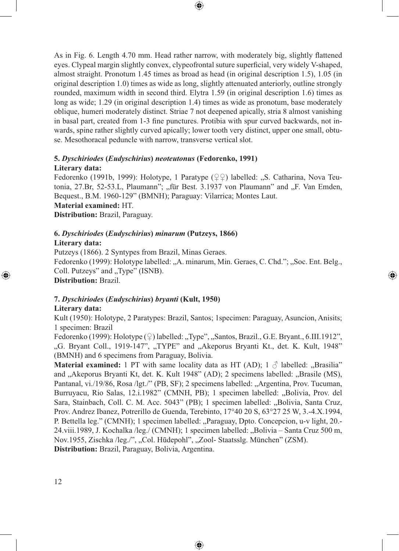As in Fig. 6. Length 4.70 mm. Head rather narrow, with moderately big, slightly flattened eyes. Clypeal margin slightly convex, clypeofrontal suture superficial, very widely V-shaped, almost straight. Pronotum 1.45 times as broad as head (in original description 1.5), 1.05 (in original description 1.0) times as wide as long, slightly attenuated anteriorly, outline strongly rounded, maximum width in second third. Elytra 1.59 (in original description 1.6) times as long as wide; 1.29 (in original description 1.4) times as wide as pronotum, base moderately oblique, humeri moderately distinct. Striae 7 not deepened apically, stria 8 almost vanishing in basal part, created from 1-3 fine punctures. Protibia with spur curved backwards, not inwards, spine rather slightly curved apically; lower tooth very distinct, upper one small, obtuse. Mesothoracal peduncle with narrow, transverse vertical slot.

 $\textcolor{black}{\textcircled{\tiny \ast}}$ 

## **5.** *Dyschiriodes* **(***Eudyschirius***)** *neoteutonus* **(Fedorenko, 1991) Literary data:**

Fedorenko (1991b, 1999): Holotype, 1 Paratype ( $\mathcal{Q} \mathcal{Q}$ ) labelled: "S. Catharina, Nova Teutonia, 27.Br, 52-53.L, Plaumann"; "für Best. 3.1937 von Plaumann" and "F. Van Emden, Bequest., B.M. 1960-129" (BMNH); Paraguay: Vilarrica; Montes Laut. **Material examined:** HT.

**Distribution:** Brazil, Paraguay.

#### **6.** *Dyschiriodes* **(***Eudyschirius***)** *minarum* **(Putzeys, 1866) Literary data:**

Putzeys (1866). 2 Syntypes from Brazil, Minas Geraes. Fedorenko (1999): Holotype labelled: "A. minarum, Min. Geraes, C. Chd."; "Soc. Ent. Belg., Coll. Putzeys" and "Type" (ISNB). **Distribution:** Brazil.

⊕

#### **7.** *Dyschiriodes* **(***Eudyschirius***)** *bryanti* **(Kult, 1950)**

### **Literary data:**

⊕

Kult (1950): Holotype, 2 Paratypes: Brazil, Santos; 1specimen: Paraguay, Asuncion, Anisits; 1 specimen: Brazil

Fedorenko (1999): Holotype (♀) labelled: "Type", "Santos, Brazil., G.E. Bryant., 6.III.1912", "G. Bryant Coll., 1919-147", "TYPE" and "Akeporus Bryanti Kt., det. K. Kult, 1948" (BMNH) and 6 specimens from Paraguay, Bolivia.

**Material examined:** 1 PT with same locality data as HT (AD);  $1 \circ$  labelled: "Brasilia" and "Akeporus Bryanti Kt, det. K. Kult 1948" (AD); 2 specimens labelled: "Brasile (MS), Pantanal, vi./19/86, Rosa /lgt./" (PB, SF); 2 specimens labelled: "Argentina, Prov. Tucuman, Burruyacu, Rio Salas, 12.i.1982" (CMNH, PB); 1 specimen labelled: "Bolivia, Prov. del Sara, Stainbach, Coll. C. M. Acc. 5043" (PB); 1 specimen labelled: "Bolivia, Santa Cruz, Prov. Andrez Ibanez, Potrerillo de Guenda, Terebinto, 17°40 20 S, 63°27 25 W, 3.-4.X.1994, P. Bettella leg." (CMNH); 1 specimen labelled: "Paraguay, Dpto. Concepcion, u-v light, 20.-24.viii.1989, J. Kochalka /leg./ (CMNH); 1 specimen labelled: "Bolivia – Santa Cruz 500 m, Nov.1955, Zischka /leg./", "Col. Hūdepohl", "Zool- Staatsslg. München" (ZSM). **Distribution:** Brazil, Paraguay, Bolivia, Argentina.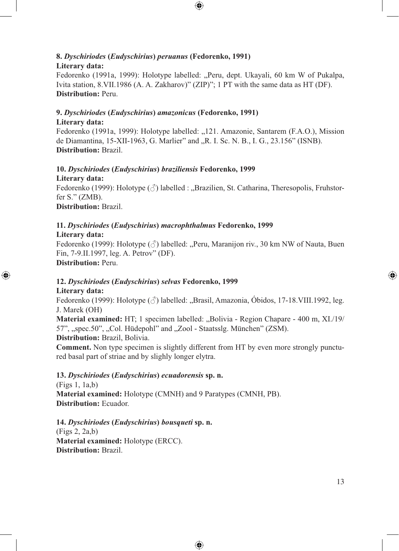#### **8.** *Dyschiriodes* **(***Eudyschirius***)** *peruanus* **(Fedorenko, 1991) Literary data:**

Fedorenko (1991a, 1999): Holotype labelled: "Peru, dept. Ukayali, 60 km W of Pukalpa, Ivita station, 8.VII.1986 (A. A. Zakharov)" (ZIP)"; 1 PT with the same data as HT (DF). **Distribution:** Peru.

 $\bigcirc \hspace{-1.4mm} \bigcirc$ 

## **9.** *Dyschiriodes* **(***Eudyschirius***)** *amazonicus* **(Fedorenko, 1991) Literary data:**

Fedorenko (1991a, 1999): Holotype labelled: "121. Amazonie, Santarem (F.A.O.), Mission de Diamantina, 15-XII-1963, G. Marlier" and "R. I. Sc. N. B., I. G., 23.156" (ISNB). **Distribution:** Brazil.

## **10.** *Dyschiriodes* **(***Eudyschirius***)** *braziliensis* **Fedorenko, 1999 Literary data:**

Fedorenko (1999): Holotype  $(\vec{\zeta})$  labelled : "Brazilien, St. Catharina, Theresopolis, Fruhstorfer S." (ZMB). **Distribution:** Brazil.

# **11.** *Dyschiriodes* **(***Eudyschirius***)** *macrophthalmus* **Fedorenko, 1999**

## **Literary data:**

⊕

Fedorenko (1999): Holotype  $(\text{A})$  labelled: "Peru, Maranijon riv., 30 km NW of Nauta, Buen Fin, 7-9.II.1997, leg. A. Petrov" (DF). **Distribution:** Peru.

## **12.** *Dyschiriodes* **(***Eudyschirius***)** *selvas* **Fedorenko, 1999 Literary data:**

Fedorenko (1999): Holotype  $(\text{A})$  labelled: "Brasil, Amazonia, Óbidos, 17-18.VIII.1992, leg. J. Marek (OH)

**Material examined:** HT; 1 specimen labelled: "Bolivia - Region Chapare - 400 m, XI./19/ 57", "spec.50", "Col. Hüdepohl" and "Zool - Staatsslg. München" (ZSM). **Distribution:** Brazil, Bolivia.

**Comment.** Non type specimen is slightly different from HT by even more strongly punctured basal part of striae and by slighly longer elytra.

⊕

## **13.** *Dyschiriodes* **(***Eudyschirius***)** *ecuadorensis* **sp. n.**

(Figs 1, 1a,b) **Material examined:** Holotype (CMNH) and 9 Paratypes (CMNH, PB). **Distribution:** Ecuador.

**14.** *Dyschiriodes* **(***Eudyschirius***)** *bousqueti* **sp. n.**  (Figs 2, 2a,b) **Material examined:** Holotype (ERCC). **Distribution:** Brazil.